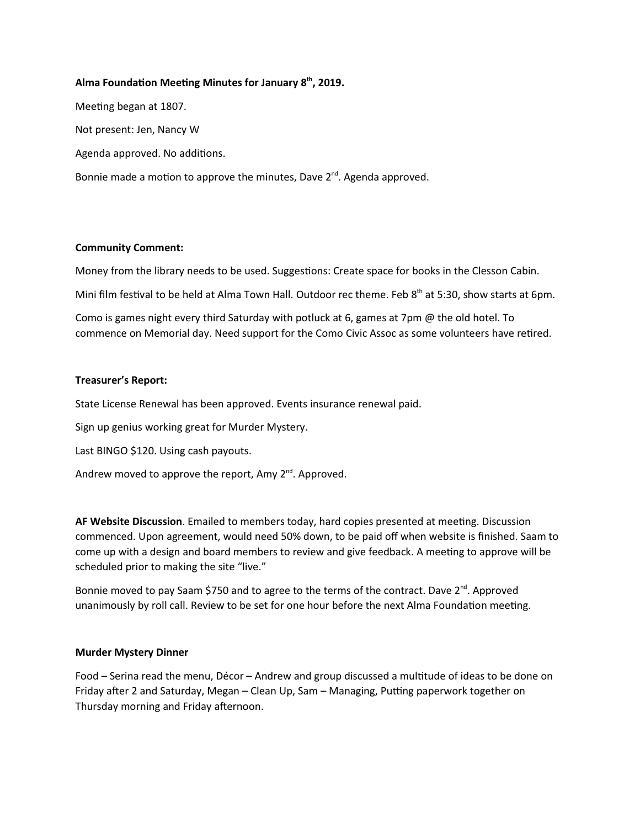### Alma Foundation Meeting Minutes for January  $8<sup>th</sup>$ , 2019.

Meeting began at 1807. Not present: Jen, Nancy W Agenda approved. No additions. Bonnie made a motion to approve the minutes, Dave  $2^{nd}$ . Agenda approved.

### Community Comment:

Money from the library needs to be used. Suggestions: Create space for books in the Clesson Cabin.

Mini film festival to be held at Alma Town Hall. Outdoor rec theme. Feb 8<sup>th</sup> at 5:30, show starts at 6pm.

Como is games night every third Saturday with potluck at 6, games at 7pm @ the old hotel. To commence on Memorial day. Need support for the Como Civic Assoc as some volunteers have retired.

### Treasurer's Report:

State License Renewal has been approved. Events insurance renewal paid.

Sign up genius working great for Murder Mystery.

Last BINGO \$120. Using cash payouts.

Andrew moved to approve the report, Amy  $2^{nd}$ . Approved.

AF Website Discussion. Emailed to members today, hard copies presented at meeting. Discussion commenced. Upon agreement, would need 50% down, to be paid off when website is finished. Saam to come up with a design and board members to review and give feedback. A meeting to approve will be scheduled prior to making the site "live."

Bonnie moved to pay Saam \$750 and to agree to the terms of the contract. Dave 2<sup>nd</sup>. Approved unanimously by roll call. Review to be set for one hour before the next Alma Foundation meeting.

# Murder Mystery Dinner

Food – Serina read the menu, Décor – Andrew and group discussed a multitude of ideas to be done on Friday after 2 and Saturday, Megan – Clean Up, Sam – Managing, Putting paperwork together on Thursday morning and Friday afternoon.